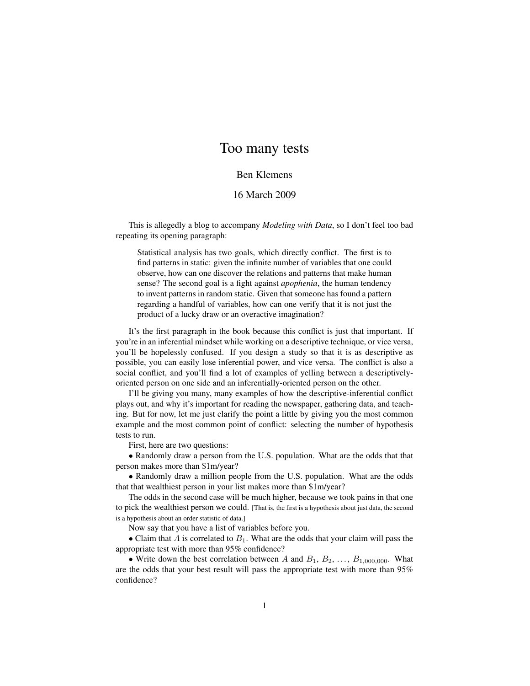## Too many tests

## Ben Klemens

## 16 March 2009

This is allegedly a blog to accompany *Modeling with Data*, so I don't feel too bad repeating its opening paragraph:

Statistical analysis has two goals, which directly conflict. The first is to find patterns in static: given the infinite number of variables that one could observe, how can one discover the relations and patterns that make human sense? The second goal is a fight against *apophenia*, the human tendency to invent patterns in random static. Given that someone has found a pattern regarding a handful of variables, how can one verify that it is not just the product of a lucky draw or an overactive imagination?

It's the first paragraph in the book because this conflict is just that important. If you're in an inferential mindset while working on a descriptive technique, or vice versa, you'll be hopelessly confused. If you design a study so that it is as descriptive as possible, you can easily lose inferential power, and vice versa. The conflict is also a social conflict, and you'll find a lot of examples of yelling between a descriptivelyoriented person on one side and an inferentially-oriented person on the other.

I'll be giving you many, many examples of how the descriptive-inferential conflict plays out, and why it's important for reading the newspaper, gathering data, and teaching. But for now, let me just clarify the point a little by giving you the most common example and the most common point of conflict: selecting the number of hypothesis tests to run.

First, here are two questions:

• Randomly draw a person from the U.S. population. What are the odds that that person makes more than \$1m/year?

• Randomly draw a million people from the U.S. population. What are the odds that that wealthiest person in your list makes more than \$1m/year?

The odds in the second case will be much higher, because we took pains in that one to pick the wealthiest person we could. [That is, the first is a hypothesis about just data, the second is a hypothesis about an order statistic of data.]

Now say that you have a list of variables before you.

• Claim that A is correlated to  $B_1$ . What are the odds that your claim will pass the appropriate test with more than 95% confidence?

• Write down the best correlation between A and  $B_1, B_2, \ldots, B_{1,000,000}$ . What are the odds that your best result will pass the appropriate test with more than 95% confidence?